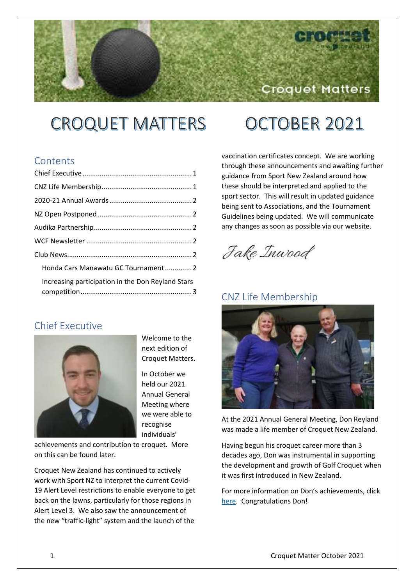## Croquet Matters

# **CROQUET MATTERS**

# OCTOBER 2021

#### **Contents**

| Honda Cars Manawatu GC Tournament 2               |  |
|---------------------------------------------------|--|
| Increasing participation in the Don Reyland Stars |  |

#### <span id="page-0-0"></span>Chief Executive



Welcome to the next edition of Croquet Matters.

In October we held our 2021 Annual General Meeting where we were able to recognise individuals'

achievements and contribution to croquet. More on this can be found later.

Croquet New Zealand has continued to actively work with Sport NZ to interpret the current Covid-19 Alert Level restrictions to enable everyone to get back on the lawns, particularly for those regions in Alert Level 3. We also saw the announcement of the new "traffic-light" system and the launch of the

vaccination certificates concept. We are working through these announcements and awaiting further guidance from Sport New Zealand around how these should be interpreted and applied to the sport sector. This will result in updated guidance being sent to Associations, and the Tournament Guidelines being updated. We will communicate any changes as soon as possible via our website.

Jake Inwood

#### <span id="page-0-1"></span>CNZ Life Membership



At the 2021 Annual General Meeting, Don Reyland was made a life member of Croquet New Zealand.

Having begun his croquet career more than 3 decades ago, Don was instrumental in supporting the development and growth of Golf Croquet when it was first introduced in New Zealand.

For more information on Don's achievements, click [here.](https://croquet.org.nz/don-reyland-becomes-a-croquet-new-zealand-life-member/) Congratulations Don!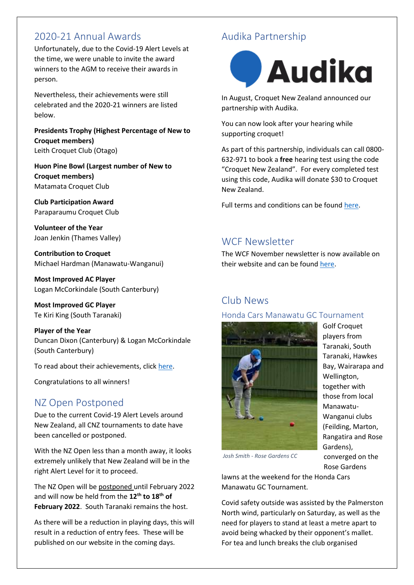#### <span id="page-1-0"></span>2020-21 Annual Awards

Unfortunately, due to the Covid-19 Alert Levels at the time, we were unable to invite the award winners to the AGM to receive their awards in person.

Nevertheless, their achievements were still celebrated and the 2020-21 winners are listed below.

**Presidents Trophy (Highest Percentage of New to Croquet members)** Leith Croquet Club (Otago)

**Huon Pine Bowl (Largest number of New to Croquet members)** Matamata Croquet Club

**Club Participation Award** Paraparaumu Croquet Club

**Volunteer of the Year** Joan Jenkin (Thames Valley)

**Contribution to Croquet** Michael Hardman (Manawatu-Wanganui)

**Most Improved AC Player** Logan McCorkindale (South Canterbury)

**Most Improved GC Player** Te Kiri King (South Taranaki)

**Player of the Year** Duncan Dixon (Canterbury) & Logan McCorkindale (South Canterbury)

To read about their achievements, clic[k here.](https://croquet.org.nz/2020-21-croquet-new-zealand-awards/)

Congratulations to all winners!

### <span id="page-1-1"></span>NZ Open Postponed

Due to the current Covid-19 Alert Levels around New Zealand, all CNZ tournaments to date have been cancelled or postponed.

With the NZ Open less than a month away, it looks extremely unlikely that New Zealand will be in the right Alert Level for it to proceed.

The NZ Open will be postponed until February 2022 and will now be held from the **12th to 18th of February 2022**. South Taranaki remains the host.

As there will be a reduction in playing days, this will result in a reduction of entry fees. These will be published on our website in the coming days.

## <span id="page-1-2"></span>Audika Partnership



In August, Croquet New Zealand announced our partnership with Audika.

You can now look after your hearing while supporting croquet!

As part of this partnership, individuals can call 0800- 632-971 to book a **free** hearing test using the code "Croquet New Zealand". For every completed test using this code, Audika will donate \$30 to Croquet New Zealand.

Full terms and conditions can be found [here.](https://www.audika.co.nz/terms-and-conditions/croquet-30-dollar-donation)

### <span id="page-1-3"></span>WCF Newsletter

The WCF November newsletter is now available on their website and can be found [here.](https://worldcroquet.org/november-2021-newsletter/)

### <span id="page-1-4"></span>Club News

#### <span id="page-1-5"></span>Honda Cars Manawatu GC Tournament



Golf Croquet players from Taranaki, South Taranaki, Hawkes Bay, Wairarapa and Wellington, together with those from local Manawatu-Wanganui clubs (Feilding, Marton, Rangatira and Rose Gardens), converged on the Rose Gardens

*Josh Smith - Rose Gardens CC*

lawns at the weekend for the Honda Cars Manawatu GC Tournament.

Covid safety outside was assisted by the Palmerston North wind, particularly on Saturday, as well as the need for players to stand at least a metre apart to avoid being whacked by their opponent's mallet. For tea and lunch breaks the club organised